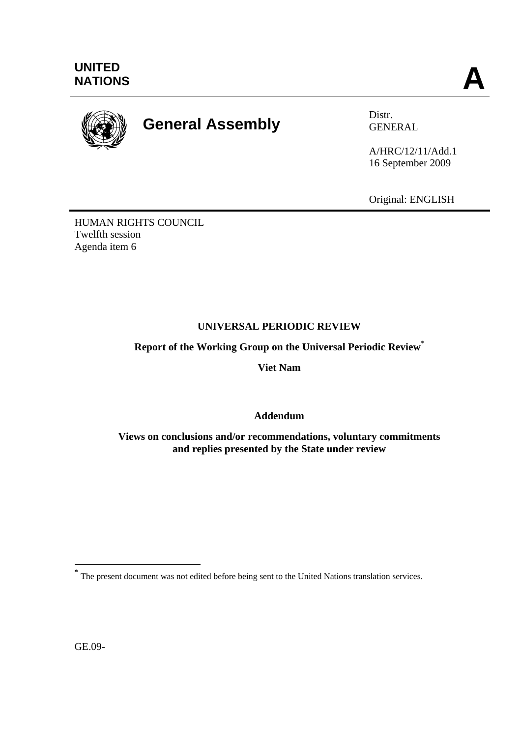

# **General Assembly** Distr.

GENERAL

A/HRC/12/11/Add.1 16 September 2009

Original: ENGLISH

HUMAN RIGHTS COUNCIL Twelfth session Agenda item 6

## **UNIVERSAL PERIODIC REVIEW**

**Report of the Working Group on the Universal Periodic Review**\*

**Viet Nam** 

**Addendum** 

**Views on conclusions and/or recommendations, voluntary commitments and replies presented by the State under review**

GE.09-

 $\overline{a}$ 

**<sup>\*</sup>** The present document was not edited before being sent to the United Nations translation services.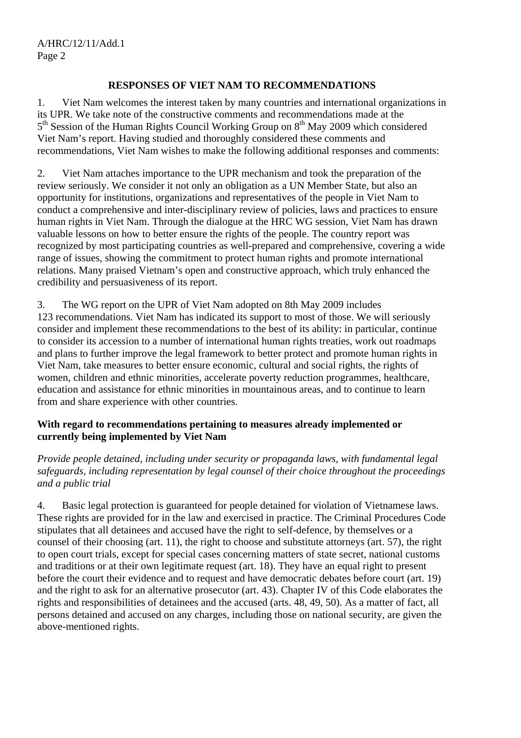#### **RESPONSES OF VIET NAM TO RECOMMENDATIONS**

1. Viet Nam welcomes the interest taken by many countries and international organizations in its UPR. We take note of the constructive comments and recommendations made at the 5<sup>th</sup> Session of the Human Rights Council Working Group on 8<sup>th</sup> May 2009 which considered Viet Nam's report. Having studied and thoroughly considered these comments and recommendations, Viet Nam wishes to make the following additional responses and comments:

2. Viet Nam attaches importance to the UPR mechanism and took the preparation of the review seriously. We consider it not only an obligation as a UN Member State, but also an opportunity for institutions, organizations and representatives of the people in Viet Nam to conduct a comprehensive and inter-disciplinary review of policies, laws and practices to ensure human rights in Viet Nam. Through the dialogue at the HRC WG session, Viet Nam has drawn valuable lessons on how to better ensure the rights of the people. The country report was recognized by most participating countries as well-prepared and comprehensive, covering a wide range of issues, showing the commitment to protect human rights and promote international relations. Many praised Vietnam's open and constructive approach, which truly enhanced the credibility and persuasiveness of its report.

3. The WG report on the UPR of Viet Nam adopted on 8th May 2009 includes 123 recommendations. Viet Nam has indicated its support to most of those. We will seriously consider and implement these recommendations to the best of its ability: in particular, continue to consider its accession to a number of international human rights treaties, work out roadmaps and plans to further improve the legal framework to better protect and promote human rights in Viet Nam, take measures to better ensure economic, cultural and social rights, the rights of women, children and ethnic minorities, accelerate poverty reduction programmes, healthcare, education and assistance for ethnic minorities in mountainous areas, and to continue to learn from and share experience with other countries.

#### **With regard to recommendations pertaining to measures already implemented or currently being implemented by Viet Nam**

*Provide people detained, including under security or propaganda laws, with fundamental legal safeguards, including representation by legal counsel of their choice throughout the proceedings and a public trial* 

4. Basic legal protection is guaranteed for people detained for violation of Vietnamese laws. These rights are provided for in the law and exercised in practice. The Criminal Procedures Code stipulates that all detainees and accused have the right to self-defence, by themselves or a counsel of their choosing (art. 11), the right to choose and substitute attorneys (art. 57), the right to open court trials, except for special cases concerning matters of state secret, national customs and traditions or at their own legitimate request (art. 18). They have an equal right to present before the court their evidence and to request and have democratic debates before court (art. 19) and the right to ask for an alternative prosecutor (art. 43). Chapter IV of this Code elaborates the rights and responsibilities of detainees and the accused (arts. 48, 49, 50). As a matter of fact, all persons detained and accused on any charges, including those on national security, are given the above-mentioned rights.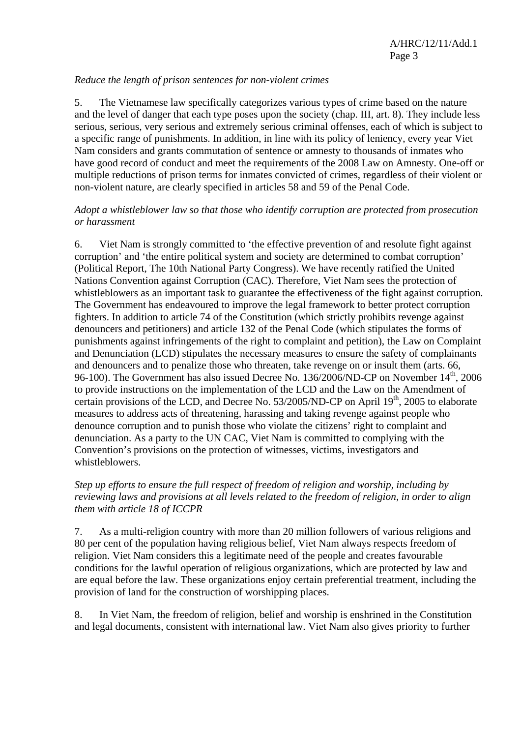#### *Reduce the length of prison sentences for non-violent crimes*

5. The Vietnamese law specifically categorizes various types of crime based on the nature and the level of danger that each type poses upon the society (chap. III, art. 8). They include less serious, serious, very serious and extremely serious criminal offenses, each of which is subject to a specific range of punishments. In addition, in line with its policy of leniency, every year Viet Nam considers and grants commutation of sentence or amnesty to thousands of inmates who have good record of conduct and meet the requirements of the 2008 Law on Amnesty. One-off or multiple reductions of prison terms for inmates convicted of crimes, regardless of their violent or non-violent nature, are clearly specified in articles 58 and 59 of the Penal Code.

#### *Adopt a whistleblower law so that those who identify corruption are protected from prosecution or harassment*

6. Viet Nam is strongly committed to 'the effective prevention of and resolute fight against corruption' and 'the entire political system and society are determined to combat corruption' (Political Report, The 10th National Party Congress). We have recently ratified the United Nations Convention against Corruption (CAC). Therefore, Viet Nam sees the protection of whistleblowers as an important task to guarantee the effectiveness of the fight against corruption. The Government has endeavoured to improve the legal framework to better protect corruption fighters. In addition to article 74 of the Constitution (which strictly prohibits revenge against denouncers and petitioners) and article 132 of the Penal Code (which stipulates the forms of punishments against infringements of the right to complaint and petition), the Law on Complaint and Denunciation (LCD) stipulates the necessary measures to ensure the safety of complainants and denouncers and to penalize those who threaten, take revenge on or insult them (arts. 66, 96-100). The Government has also issued Decree No. 136/2006/ND-CP on November 14<sup>th</sup>, 2006 to provide instructions on the implementation of the LCD and the Law on the Amendment of certain provisions of the LCD, and Decree No.  $53/2005/ND$ -CP on April 19<sup>th</sup>, 2005 to elaborate measures to address acts of threatening, harassing and taking revenge against people who denounce corruption and to punish those who violate the citizens' right to complaint and denunciation. As a party to the UN CAC, Viet Nam is committed to complying with the Convention's provisions on the protection of witnesses, victims, investigators and whistleblowers.

#### *Step up efforts to ensure the full respect of freedom of religion and worship, including by reviewing laws and provisions at all levels related to the freedom of religion, in order to align them with article 18 of ICCPR*

7. As a multi-religion country with more than 20 million followers of various religions and 80 per cent of the population having religious belief, Viet Nam always respects freedom of religion. Viet Nam considers this a legitimate need of the people and creates favourable conditions for the lawful operation of religious organizations, which are protected by law and are equal before the law. These organizations enjoy certain preferential treatment, including the provision of land for the construction of worshipping places.

8. In Viet Nam, the freedom of religion, belief and worship is enshrined in the Constitution and legal documents, consistent with international law. Viet Nam also gives priority to further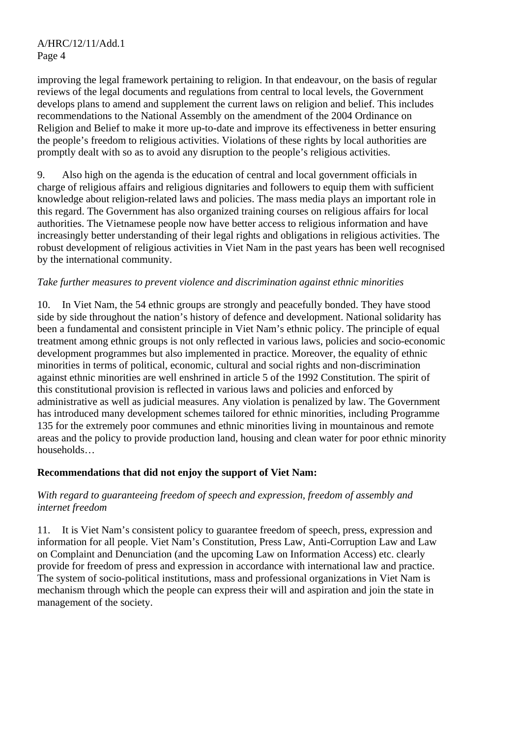improving the legal framework pertaining to religion. In that endeavour, on the basis of regular reviews of the legal documents and regulations from central to local levels, the Government develops plans to amend and supplement the current laws on religion and belief. This includes recommendations to the National Assembly on the amendment of the 2004 Ordinance on Religion and Belief to make it more up-to-date and improve its effectiveness in better ensuring the people's freedom to religious activities. Violations of these rights by local authorities are promptly dealt with so as to avoid any disruption to the people's religious activities.

9. Also high on the agenda is the education of central and local government officials in charge of religious affairs and religious dignitaries and followers to equip them with sufficient knowledge about religion-related laws and policies. The mass media plays an important role in this regard. The Government has also organized training courses on religious affairs for local authorities. The Vietnamese people now have better access to religious information and have increasingly better understanding of their legal rights and obligations in religious activities. The robust development of religious activities in Viet Nam in the past years has been well recognised by the international community.

#### *Take further measures to prevent violence and discrimination against ethnic minorities*

10. In Viet Nam, the 54 ethnic groups are strongly and peacefully bonded. They have stood side by side throughout the nation's history of defence and development. National solidarity has been a fundamental and consistent principle in Viet Nam's ethnic policy. The principle of equal treatment among ethnic groups is not only reflected in various laws, policies and socio-economic development programmes but also implemented in practice. Moreover, the equality of ethnic minorities in terms of political, economic, cultural and social rights and non-discrimination against ethnic minorities are well enshrined in article 5 of the 1992 Constitution. The spirit of this constitutional provision is reflected in various laws and policies and enforced by administrative as well as judicial measures. Any violation is penalized by law. The Government has introduced many development schemes tailored for ethnic minorities, including Programme 135 for the extremely poor communes and ethnic minorities living in mountainous and remote areas and the policy to provide production land, housing and clean water for poor ethnic minority households…

#### **Recommendations that did not enjoy the support of Viet Nam:**

#### *With regard to guaranteeing freedom of speech and expression, freedom of assembly and internet freedom*

11. It is Viet Nam's consistent policy to guarantee freedom of speech, press, expression and information for all people. Viet Nam's Constitution, Press Law, Anti-Corruption Law and Law on Complaint and Denunciation (and the upcoming Law on Information Access) etc. clearly provide for freedom of press and expression in accordance with international law and practice. The system of socio-political institutions, mass and professional organizations in Viet Nam is mechanism through which the people can express their will and aspiration and join the state in management of the society.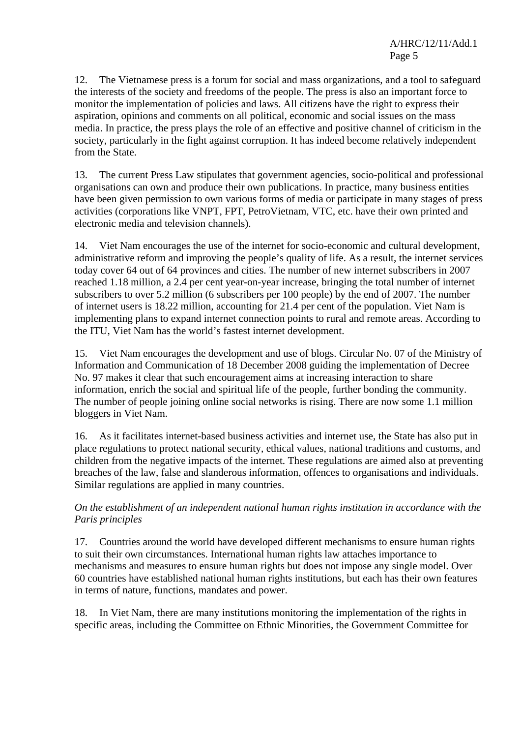12. The Vietnamese press is a forum for social and mass organizations, and a tool to safeguard the interests of the society and freedoms of the people. The press is also an important force to monitor the implementation of policies and laws. All citizens have the right to express their aspiration, opinions and comments on all political, economic and social issues on the mass media. In practice, the press plays the role of an effective and positive channel of criticism in the society, particularly in the fight against corruption. It has indeed become relatively independent from the State.

13. The current Press Law stipulates that government agencies, socio-political and professional organisations can own and produce their own publications. In practice, many business entities have been given permission to own various forms of media or participate in many stages of press activities (corporations like VNPT, FPT, PetroVietnam, VTC, etc. have their own printed and electronic media and television channels).

14. Viet Nam encourages the use of the internet for socio-economic and cultural development, administrative reform and improving the people's quality of life. As a result, the internet services today cover 64 out of 64 provinces and cities. The number of new internet subscribers in 2007 reached 1.18 million, a 2.4 per cent year-on-year increase, bringing the total number of internet subscribers to over 5.2 million (6 subscribers per 100 people) by the end of 2007. The number of internet users is 18.22 million, accounting for 21.4 per cent of the population. Viet Nam is implementing plans to expand internet connection points to rural and remote areas. According to the ITU, Viet Nam has the world's fastest internet development.

15. Viet Nam encourages the development and use of blogs. Circular No. 07 of the Ministry of Information and Communication of 18 December 2008 guiding the implementation of Decree No. 97 makes it clear that such encouragement aims at increasing interaction to share information, enrich the social and spiritual life of the people, further bonding the community. The number of people joining online social networks is rising. There are now some 1.1 million bloggers in Viet Nam.

16. As it facilitates internet-based business activities and internet use, the State has also put in place regulations to protect national security, ethical values, national traditions and customs, and children from the negative impacts of the internet. These regulations are aimed also at preventing breaches of the law, false and slanderous information, offences to organisations and individuals. Similar regulations are applied in many countries.

*On the establishment of an independent national human rights institution in accordance with the Paris principles* 

17. Countries around the world have developed different mechanisms to ensure human rights to suit their own circumstances. International human rights law attaches importance to mechanisms and measures to ensure human rights but does not impose any single model. Over 60 countries have established national human rights institutions, but each has their own features in terms of nature, functions, mandates and power.

18. In Viet Nam, there are many institutions monitoring the implementation of the rights in specific areas, including the Committee on Ethnic Minorities, the Government Committee for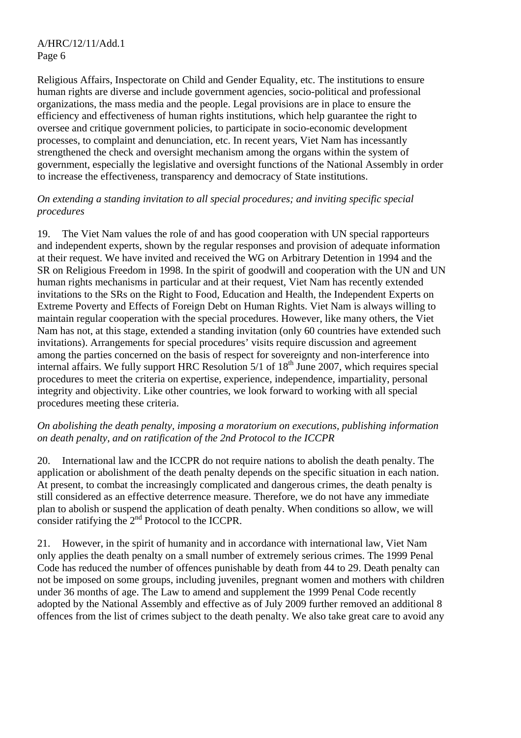Religious Affairs, Inspectorate on Child and Gender Equality, etc. The institutions to ensure human rights are diverse and include government agencies, socio-political and professional organizations, the mass media and the people. Legal provisions are in place to ensure the efficiency and effectiveness of human rights institutions, which help guarantee the right to oversee and critique government policies, to participate in socio-economic development processes, to complaint and denunciation, etc. In recent years, Viet Nam has incessantly strengthened the check and oversight mechanism among the organs within the system of government, especially the legislative and oversight functions of the National Assembly in order to increase the effectiveness, transparency and democracy of State institutions.

#### *On extending a standing invitation to all special procedures; and inviting specific special procedures*

19. The Viet Nam values the role of and has good cooperation with UN special rapporteurs and independent experts, shown by the regular responses and provision of adequate information at their request. We have invited and received the WG on Arbitrary Detention in 1994 and the SR on Religious Freedom in 1998. In the spirit of goodwill and cooperation with the UN and UN human rights mechanisms in particular and at their request, Viet Nam has recently extended invitations to the SRs on the Right to Food, Education and Health, the Independent Experts on Extreme Poverty and Effects of Foreign Debt on Human Rights. Viet Nam is always willing to maintain regular cooperation with the special procedures. However, like many others, the Viet Nam has not, at this stage, extended a standing invitation (only 60 countries have extended such invitations). Arrangements for special procedures' visits require discussion and agreement among the parties concerned on the basis of respect for sovereignty and non-interference into internal affairs. We fully support HRC Resolution  $5/1$  of  $18<sup>th</sup>$  June 2007, which requires special procedures to meet the criteria on expertise, experience, independence, impartiality, personal integrity and objectivity. Like other countries, we look forward to working with all special procedures meeting these criteria.

### *On abolishing the death penalty, imposing a moratorium on executions, publishing information on death penalty, and on ratification of the 2nd Protocol to the ICCPR*

20. International law and the ICCPR do not require nations to abolish the death penalty. The application or abolishment of the death penalty depends on the specific situation in each nation. At present, to combat the increasingly complicated and dangerous crimes, the death penalty is still considered as an effective deterrence measure. Therefore, we do not have any immediate plan to abolish or suspend the application of death penalty. When conditions so allow, we will consider ratifying the  $2<sup>nd</sup>$  Protocol to the ICCPR.

21. However, in the spirit of humanity and in accordance with international law, Viet Nam only applies the death penalty on a small number of extremely serious crimes. The 1999 Penal Code has reduced the number of offences punishable by death from 44 to 29. Death penalty can not be imposed on some groups, including juveniles, pregnant women and mothers with children under 36 months of age. The Law to amend and supplement the 1999 Penal Code recently adopted by the National Assembly and effective as of July 2009 further removed an additional 8 offences from the list of crimes subject to the death penalty. We also take great care to avoid any